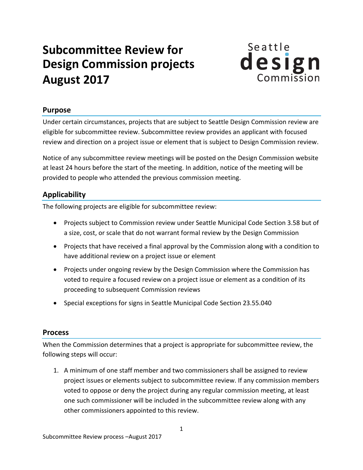## **Subcommittee Review for Design Commission projects August 2017**



## **Purpose**

Under certain circumstances, projects that are subject to Seattle Design Commission review are eligible for subcommittee review. Subcommittee review provides an applicant with focused review and direction on a project issue or element that is subject to Design Commission review.

Notice of any subcommittee review meetings will be posted on the Design Commission website at least 24 hours before the start of the meeting. In addition, notice of the meeting will be provided to people who attended the previous commission meeting.

## **Applicability**

The following projects are eligible for subcommittee review:

- Projects subject to Commission review under Seattle Municipal Code Section 3.58 but of a size, cost, or scale that do not warrant formal review by the Design Commission
- Projects that have received a final approval by the Commission along with a condition to have additional review on a project issue or element
- Projects under ongoing review by the Design Commission where the Commission has voted to require a focused review on a project issue or element as a condition of its proceeding to subsequent Commission reviews
- Special exceptions for signs in Seattle Municipal Code Section 23.55.040

## **Process**

When the Commission determines that a project is appropriate for subcommittee review, the following steps will occur:

1. A minimum of one staff member and two commissioners shall be assigned to review project issues or elements subject to subcommittee review. If any commission members voted to oppose or deny the project during any regular commission meeting, at least one such commissioner will be included in the subcommittee review along with any other commissioners appointed to this review.